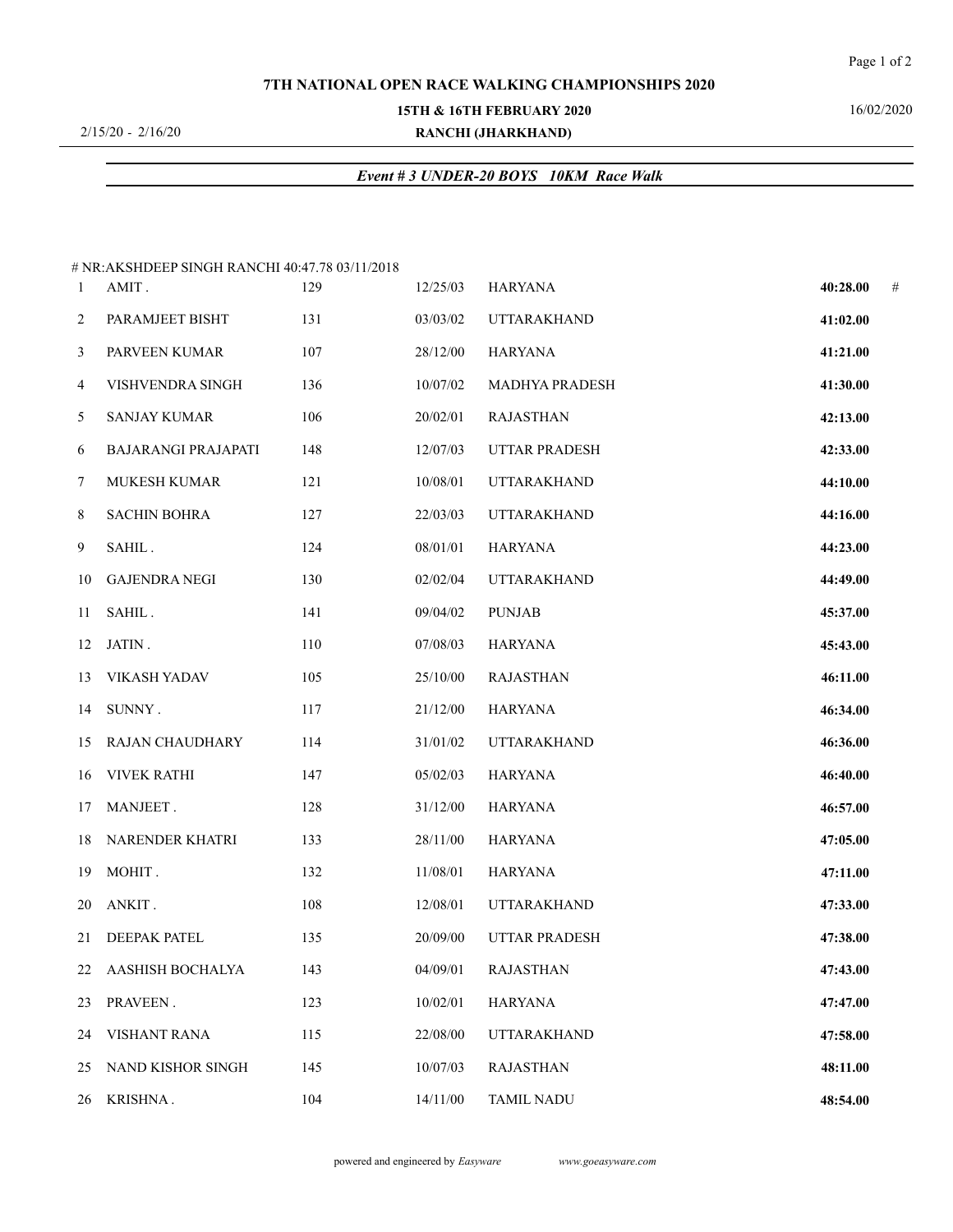#### **7TH NATIONAL OPEN RACE WALKING CHAMPIONSHIPS 2020**

#### **15TH & 16TH FEBRUARY 2020**

2/15/20 - 2/16/20

# **RANCHI (JHARKHAND)**

# 16/02/2020

## *Event # 3 UNDER-20 BOYS 10KM Race Walk*

|                      |                                                                                                                                                                                                                                                                                            |                                                                                                                                                                                                                                      |                                                                                  |                                                 | #                                |
|----------------------|--------------------------------------------------------------------------------------------------------------------------------------------------------------------------------------------------------------------------------------------------------------------------------------------|--------------------------------------------------------------------------------------------------------------------------------------------------------------------------------------------------------------------------------------|----------------------------------------------------------------------------------|-------------------------------------------------|----------------------------------|
|                      |                                                                                                                                                                                                                                                                                            |                                                                                                                                                                                                                                      |                                                                                  |                                                 |                                  |
|                      |                                                                                                                                                                                                                                                                                            |                                                                                                                                                                                                                                      |                                                                                  |                                                 |                                  |
|                      |                                                                                                                                                                                                                                                                                            |                                                                                                                                                                                                                                      |                                                                                  |                                                 |                                  |
|                      |                                                                                                                                                                                                                                                                                            |                                                                                                                                                                                                                                      | MADHYA PRADESH                                                                   | 41:30.00                                        |                                  |
| <b>SANJAY KUMAR</b>  |                                                                                                                                                                                                                                                                                            | 20/02/01                                                                                                                                                                                                                             | <b>RAJASTHAN</b>                                                                 | 42:13.00                                        |                                  |
| BAJARANGI PRAJAPATI  |                                                                                                                                                                                                                                                                                            | 12/07/03                                                                                                                                                                                                                             | UTTAR PRADESH                                                                    | 42:33.00                                        |                                  |
| MUKESH KUMAR         |                                                                                                                                                                                                                                                                                            | 10/08/01                                                                                                                                                                                                                             | <b>UTTARAKHAND</b>                                                               | 44:10.00                                        |                                  |
| <b>SACHIN BOHRA</b>  |                                                                                                                                                                                                                                                                                            | 22/03/03                                                                                                                                                                                                                             | <b>UTTARAKHAND</b>                                                               | 44:16.00                                        |                                  |
| SAHIL.               |                                                                                                                                                                                                                                                                                            | 08/01/01                                                                                                                                                                                                                             | HARYANA                                                                          | 44:23.00                                        |                                  |
| <b>GAJENDRA NEGI</b> |                                                                                                                                                                                                                                                                                            | 02/02/04                                                                                                                                                                                                                             | <b>UTTARAKHAND</b>                                                               | 44:49.00                                        |                                  |
| SAHIL.               |                                                                                                                                                                                                                                                                                            | 09/04/02                                                                                                                                                                                                                             | <b>PUNJAB</b>                                                                    | 45:37.00                                        |                                  |
|                      |                                                                                                                                                                                                                                                                                            |                                                                                                                                                                                                                                      | HARYANA                                                                          | 45:43.00                                        |                                  |
|                      |                                                                                                                                                                                                                                                                                            | 25/10/00                                                                                                                                                                                                                             | <b>RAJASTHAN</b>                                                                 | 46:11.00                                        |                                  |
|                      |                                                                                                                                                                                                                                                                                            | 21/12/00                                                                                                                                                                                                                             | HARYANA                                                                          | 46:34.00                                        |                                  |
|                      |                                                                                                                                                                                                                                                                                            | 31/01/02                                                                                                                                                                                                                             | <b>UTTARAKHAND</b>                                                               | 46:36.00                                        |                                  |
|                      |                                                                                                                                                                                                                                                                                            |                                                                                                                                                                                                                                      | HARYANA                                                                          | 46:40.00                                        |                                  |
| MANJEET.             |                                                                                                                                                                                                                                                                                            | 31/12/00                                                                                                                                                                                                                             | HARYANA                                                                          | 46:57.00                                        |                                  |
|                      |                                                                                                                                                                                                                                                                                            | 28/11/00                                                                                                                                                                                                                             | HARYANA                                                                          | 47:05.00                                        |                                  |
|                      |                                                                                                                                                                                                                                                                                            | 11/08/01                                                                                                                                                                                                                             | HARYANA                                                                          | 47:11.00                                        |                                  |
| ANKIT.               |                                                                                                                                                                                                                                                                                            |                                                                                                                                                                                                                                      | UTTARAKHAND                                                                      | 47:33.00                                        |                                  |
|                      |                                                                                                                                                                                                                                                                                            | 20/09/00                                                                                                                                                                                                                             | UTTAR PRADESH                                                                    | 47:38.00                                        |                                  |
|                      |                                                                                                                                                                                                                                                                                            | 04/09/01                                                                                                                                                                                                                             | <b>RAJASTHAN</b>                                                                 | 47:43.00                                        |                                  |
| PRAVEEN.             |                                                                                                                                                                                                                                                                                            | 10/02/01                                                                                                                                                                                                                             | <b>HARYANA</b>                                                                   | 47:47.00                                        |                                  |
| VISHANT RANA         |                                                                                                                                                                                                                                                                                            | 22/08/00                                                                                                                                                                                                                             | <b>UTTARAKHAND</b>                                                               | 47:58.00                                        |                                  |
| NAND KISHOR SINGH    |                                                                                                                                                                                                                                                                                            | 10/07/03                                                                                                                                                                                                                             | <b>RAJASTHAN</b>                                                                 | 48:11.00                                        |                                  |
|                      |                                                                                                                                                                                                                                                                                            | 14/11/00                                                                                                                                                                                                                             | <b>TAMIL NADU</b>                                                                | 48:54.00                                        |                                  |
|                      | AMIT.<br>PARAMJEET BISHT<br>PARVEEN KUMAR<br>VISHVENDRA SINGH<br>10<br>11<br>$12$ JATIN.<br>13 VIKASH YADAV<br>14 SUNNY.<br>15 RAJAN CHAUDHARY<br>16 VIVEK RATHI<br>17<br>18 NARENDER KHATRI<br>19 MOHIT.<br>20<br>21 DEEPAK PATEL<br>22 AASHISH BOCHALYA<br>23<br>24<br>25<br>26 KRISHNA. | # NR:AKSHDEEP SINGH RANCHI 40:47.78 03/11/2018<br>129<br>131<br>107<br>136<br>106<br>148<br>121<br>127<br>124<br>130<br>141<br>110<br>105<br>117<br>114<br>147<br>128<br>133<br>132<br>108<br>135<br>143<br>123<br>115<br>145<br>104 | 12/25/03<br>03/03/02<br>28/12/00<br>10/07/02<br>07/08/03<br>05/02/03<br>12/08/01 | HARYANA<br><b>UTTARAKHAND</b><br><b>HARYANA</b> | 40:28.00<br>41:02.00<br>41:21.00 |